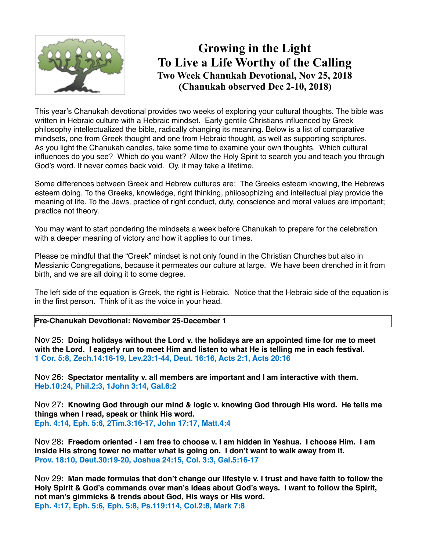

## **Growing in the Light To Live a Life Worthy of the Calling Two Week Chanukah Devotional, Nov 25, 2018 (Chanukah observed Dec 2-10, 2018)**

This year's Chanukah devotional provides two weeks of exploring your cultural thoughts. The bible was written in Hebraic culture with a Hebraic mindset. Early gentile Christians influenced by Greek philosophy intellectualized the bible, radically changing its meaning. Below is a list of comparative mindsets, one from Greek thought and one from Hebraic thought, as well as supporting scriptures. As you light the Chanukah candles, take some time to examine your own thoughts. Which cultural influences do you see? Which do you want? Allow the Holy Spirit to search you and teach you through God's word. It never comes back void. Oy, it may take a lifetime.

Some differences between Greek and Hebrew cultures are: The Greeks esteem knowing, the Hebrews esteem doing. To the Greeks, knowledge, right thinking, philosophizing and intellectual play provide the meaning of life. To the Jews, practice of right conduct, duty, conscience and moral values are important; practice not theory.

You may want to start pondering the mindsets a week before Chanukah to prepare for the celebration with a deeper meaning of victory and how it applies to our times.

Please be mindful that the "Greek" mindset is not only found in the Christian Churches but also in Messianic Congregations, because it permeates our culture at large. We have been drenched in it from birth, and we are all doing it to some degree.

The left side of the equation is Greek, the right is Hebraic. Notice that the Hebraic side of the equation is in the first person. Think of it as the voice in your head.

**Pre-Chanukah Devotional: November 25-December 1**

Nov 25**: Doing holidays without the Lord v. the holidays are an appointed time for me to meet with the Lord. I eagerly run to meet Him and listen to what He is telling me in each festival. 1 Cor. 5:8, Zech.14:16-19, Lev.23:1-44, Deut. 16:16, Acts 2:1, Acts 20:16**

Nov 26**: Spectator mentality v. all members are important and I am interactive with them. Heb.10:24, Phil.2:3, 1John 3:14, Gal.6:2**

Nov 27**: Knowing God through our mind & logic v. knowing God through His word. He tells me things when I read, speak or think His word. Eph. 4:14, Eph. 5:6, 2Tim.3:16-17, John 17:17, Matt.4:4**

Nov 28**: Freedom oriented - I am free to choose v. I am hidden in Yeshua. I choose Him. I am inside His strong tower no matter what is going on. I don't want to walk away from it. Prov. 18:10, Deut.30:19-20, Joshua 24:15, Col. 3:3, Gal.5:16-17** 

Nov 29**: Man made formulas that don't change our lifestyle v. I trust and have faith to follow the Holy Spirit & God's commands over man's ideas about God's ways. I want to follow the Spirit, not man's gimmicks & trends about God, His ways or His word. Eph. 4:17, Eph. 5:6, Eph. 5:8, Ps.119:114, Col.2:8, Mark 7:8**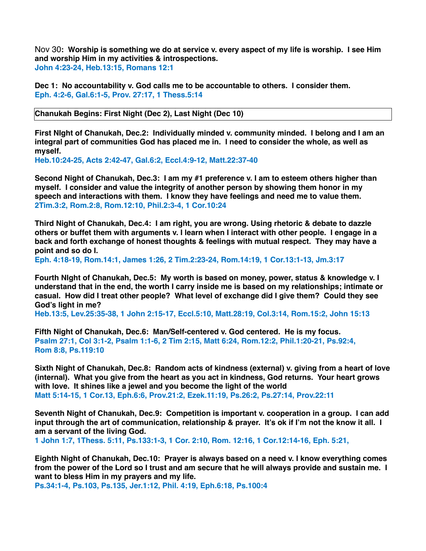Nov 30**: Worship is something we do at service v. every aspect of my life is worship. I see Him and worship Him in my activities & introspections. John 4:23-24, Heb.13:15, Romans 12:1**

**Dec 1: No accountability v. God calls me to be accountable to others. I consider them. Eph. 4:2-6, Gal.6:1-5, Prov. 27:17, 1 Thess.5:14** 

**Chanukah Begins: First Night (Dec 2), Last Night (Dec 10)**

**First NIght of Chanukah, Dec.2: Individually minded v. community minded. I belong and I am an integral part of communities God has placed me in. I need to consider the whole, as well as myself.**

**Heb.10:24-25, Acts 2:42-47, Gal.6:2, Eccl.4:9-12, Matt.22:37-40**

**Second Night of Chanukah, Dec.3: I am my #1 preference v. I am to esteem others higher than myself. I consider and value the integrity of another person by showing them honor in my speech and interactions with them. I know they have feelings and need me to value them. 2Tim.3:2, Rom.2:8, Rom.12:10, Phil.2:3-4, 1 Cor.10:24**

**Third Night of Chanukah, Dec.4: I am right, you are wrong. Using rhetoric & debate to dazzle others or buffet them with arguments v. I learn when I interact with other people. I engage in a back and forth exchange of honest thoughts & feelings with mutual respect. They may have a point and so do I.**

**Eph. 4:18-19, Rom.14:1, James 1:26, 2 Tim.2:23-24, Rom.14:19, 1 Cor.13:1-13, Jm.3:17**

**Fourth NIght of Chanukah, Dec.5: My worth is based on money, power, status & knowledge v. I understand that in the end, the worth I carry inside me is based on my relationships; intimate or casual. How did I treat other people? What level of exchange did I give them? Could they see God's light in me?**

**Heb.13:5, Lev.25:35-38, 1 John 2:15-17, Eccl.5:10, Matt.28:19, Col.3:14, Rom.15:2, John 15:13**

**Fifth Night of Chanukah, Dec.6: Man/Self-centered v. God centered. He is my focus. Psalm 27:1, Col 3:1-2, Psalm 1:1-6, 2 Tim 2:15, Matt 6:24, Rom.12:2, Phil.1:20-21, Ps.92:4, Rom 8:8, Ps.119:10**

**Sixth Night of Chanukah, Dec.8: Random acts of kindness (external) v. giving from a heart of love (internal). What you give from the heart as you act in kindness, God returns. Your heart grows with love. It shines like a jewel and you become the light of the world Matt 5:14-15, 1 Cor.13, Eph.6:6, Prov.21:2, Ezek.11:19, Ps.26:2, Ps.27:14, Prov.22:11**

**Seventh Night of Chanukah, Dec.9: Competition is important v. cooperation in a group. I can add input through the art of communication, relationship & prayer. It's ok if I'm not the know it all. I am a servant of the living God. 1 John 1:7, 1Thess. 5:11, Ps.133:1-3, 1 Cor. 2:10, Rom. 12:16, 1 Cor.12:14-16, Eph. 5:21,** 

**Eighth Night of Chanukah, Dec.10: Prayer is always based on a need v. I know everything comes from the power of the Lord so I trust and am secure that he will always provide and sustain me. I want to bless Him in my prayers and my life.** 

**Ps.34:1-4, Ps.103, Ps.135, Jer.1:12, Phil. 4:19, Eph.6:18, Ps.100:4**